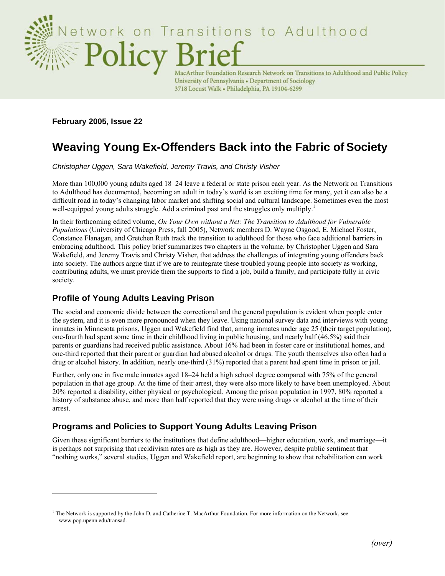

MacArthur Foundation Research Network on Transitions to Adulthood and Public Policy University of Pennsylvania • Department of Sociology 3718 Locust Walk . Philadelphia, PA 19104-6299

**February 2005, Issue 22** 

 $\overline{a}$ 

# **Weaving Young Ex-Offenders Back into the Fabric of Society**

*Christopher Uggen, Sara Wakefield, Jeremy Travis, and Christy Visher* 

More than 100,000 young adults aged 18–24 leave a federal or state prison each year. As the Network on Transitions to Adulthood has documented, becoming an adult in today's world is an exciting time for many, yet it can also be a difficult road in today's changing labor market and shifting social and cultural landscape. Sometimes even the most well-equipped young adults struggle. Add a criminal past and the struggles only multiply.<sup>1</sup>

In their forthcoming edited volume, *On Your Own without a Net: The Transition to Adulthood for Vulnerable Populations* (University of Chicago Press, fall 2005), Network members D. Wayne Osgood, E. Michael Foster, Constance Flanagan, and Gretchen Ruth track the transition to adulthood for those who face additional barriers in embracing adulthood. This policy brief summarizes two chapters in the volume, by Christopher Uggen and Sara Wakefield, and Jeremy Travis and Christy Visher, that address the challenges of integrating young offenders back into society. The authors argue that if we are to reintegrate these troubled young people into society as working, contributing adults, we must provide them the supports to find a job, build a family, and participate fully in civic society.

## **Profile of Young Adults Leaving Prison**

The social and economic divide between the correctional and the general population is evident when people enter the system, and it is even more pronounced when they leave. Using national survey data and interviews with young inmates in Minnesota prisons, Uggen and Wakefield find that, among inmates under age 25 (their target population), one-fourth had spent some time in their childhood living in public housing, and nearly half (46.5%) said their parents or guardians had received public assistance. About 16% had been in foster care or institutional homes, and one-third reported that their parent or guardian had abused alcohol or drugs. The youth themselves also often had a drug or alcohol history. In addition, nearly one-third (31%) reported that a parent had spent time in prison or jail.

Further, only one in five male inmates aged 18–24 held a high school degree compared with 75% of the general population in that age group. At the time of their arrest, they were also more likely to have been unemployed. About 20% reported a disability, either physical or psychological. Among the prison population in 1997, 80% reported a history of substance abuse, and more than half reported that they were using drugs or alcohol at the time of their arrest.

## **Programs and Policies to Support Young Adults Leaving Prison**

Given these significant barriers to the institutions that define adulthood—higher education, work, and marriage—it is perhaps not surprising that recidivism rates are as high as they are. However, despite public sentiment that "nothing works," several studies, Uggen and Wakefield report, are beginning to show that rehabilitation can work

<sup>&</sup>lt;sup>1</sup> The Network is supported by the John D. and Catherine T. MacArthur Foundation. For more information on the Network, see www.pop.upenn.edu/transad.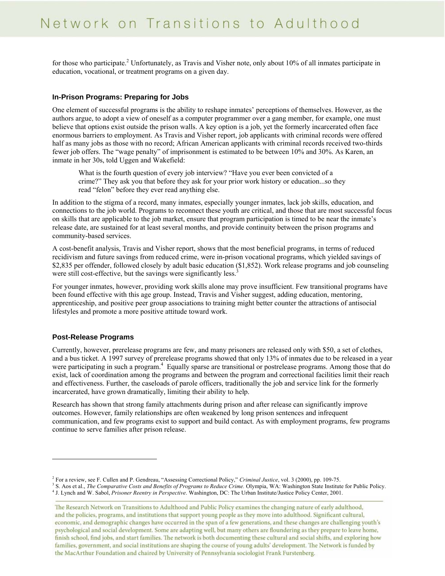for those who participate.<sup>2</sup> Unfortunately, as Travis and Visher note, only about 10% of all inmates participate in education, vocational, or treatment programs on a given day.

#### **In-Prison Programs: Preparing for Jobs**

One element of successful programs is the ability to reshape inmates' perceptions of themselves. However, as the authors argue, to adopt a view of oneself as a computer programmer over a gang member, for example, one must believe that options exist outside the prison walls. A key option is a job, yet the formerly incarcerated often face enormous barriers to employment. As Travis and Visher report, job applicants with criminal records were offered half as many jobs as those with no record; African American applicants with criminal records received two-thirds fewer job offers. The "wage penalty" of imprisonment is estimated to be between 10% and 30%. As Karen, an inmate in her 30s, told Uggen and Wakefield:

What is the fourth question of every job interview? "Have you ever been convicted of a crime?" They ask you that before they ask for your prior work history or education...so they read "felon" before they ever read anything else.

In addition to the stigma of a record, many inmates, especially younger inmates, lack job skills, education, and connections to the job world. Programs to reconnect these youth are critical, and those that are most successful focus on skills that are applicable to the job market, ensure that program participation is timed to be near the inmate's release date, are sustained for at least several months, and provide continuity between the prison programs and community-based services.

A cost-benefit analysis, Travis and Visher report, shows that the most beneficial programs, in terms of reduced recidivism and future savings from reduced crime, were in-prison vocational programs, which yielded savings of \$2,835 per offender, followed closely by adult basic education (\$1,852). Work release programs and job counseling were still cost-effective, but the savings were significantly less.<sup>3</sup>

For younger inmates, however, providing work skills alone may prove insufficient. Few transitional programs have been found effective with this age group. Instead, Travis and Visher suggest, adding education, mentoring, apprenticeship, and positive peer group associations to training might better counter the attractions of antisocial lifestyles and promote a more positive attitude toward work.

#### **Post-Release Programs**

 $\overline{a}$ 

Currently, however, prerelease programs are few, and many prisoners are released only with \$50, a set of clothes, and a bus ticket. A 1997 survey of prerelease programs showed that only 13% of inmates due to be released in a year were participating in such a program.<sup>4</sup> Equally sparse are transitional or postrelease programs. Among those that do exist, lack of coordination among the programs and between the program and correctional facilities limit their reach and effectiveness. Further, the caseloads of parole officers, traditionally the job and service link for the formerly incarcerated, have grown dramatically, limiting their ability to help.

Research has shown that strong family attachments during prison and after release can significantly improve outcomes. However, family relationships are often weakened by long prison sentences and infrequent communication, and few programs exist to support and build contact. As with employment programs, few programs continue to serve families after prison release.

<sup>&</sup>lt;sup>2</sup> For a review, see F. Cullen and P. Gendreau, "Assessing Correctional Policy," *Criminal Justice*, vol. 3 (2000), pp. 109-75. 3 8. Agg at al. *The Comparative Costs and Panelits of Programs to Paduag Crime*, Olympic WA:

<sup>&</sup>lt;sup>3</sup> S. Aos et al., *The Comparative Costs and Benefits of Programs to Reduce Crime*. Olympia, WA: Washington State Institute for Public Policy. <sup>4</sup> J. Lynch and W. Sabol, *Prisoner Reentry in Perspective*. Washington, DC: The Urban Institute/Justice Policy Center, 2001.

The Research Network on Transitions to Adulthood and Public Policy examines the changing nature of early adulthood, and the policies, programs, and institutions that support young people as they move into adulthood. Significant cultural, economic, and demographic changes have occurred in the span of a few generations, and these changes are challenging youth's psychological and social development. Some are adapting well, but many others are floundering as they prepare to leave home, finish school, find jobs, and start families. The network is both documenting these cultural and social shifts, and exploring how families, government, and social institutions are shaping the course of young adults' development. The Network is funded by the MacArthur Foundation and chaired by University of Pennsylvania sociologist Frank Furstenberg.